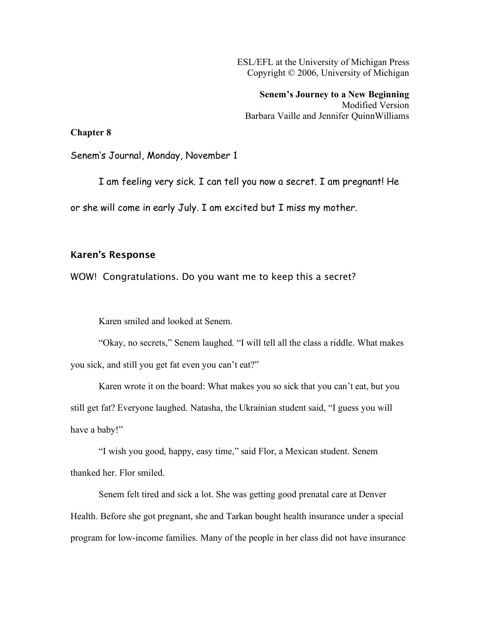ESL/EFL at the University of Michigan Press Copyright © 2006, University of Michigan

**Senem's Journey to a New Beginning** Modified Version Barbara Vaille and Jennifer QuinnWilliams

## **Chapter 8**

Senem's Journal, Monday, November 1

I am feeling very sick. I can tell you now a secret. I am pregnant! He or she will come in early July. I am excited but I miss my mother.

## Karen's Response

WOW! Congratulations. Do you want me to keep this a secret?

Karen smiled and looked at Senem.

"Okay, no secrets," Senem laughed. "I will tell all the class a riddle. What makes you sick, and still you get fat even you can't eat?"

Karen wrote it on the board: What makes you so sick that you can't eat, but you still get fat? Everyone laughed. Natasha, the Ukrainian student said, "I guess you will have a baby!"

"I wish you good, happy, easy time," said Flor, a Mexican student. Senem thanked her. Flor smiled.

Senem felt tired and sick a lot. She was getting good prenatal care at Denver Health. Before she got pregnant, she and Tarkan bought health insurance under a special program for low-income families. Many of the people in her class did not have insurance